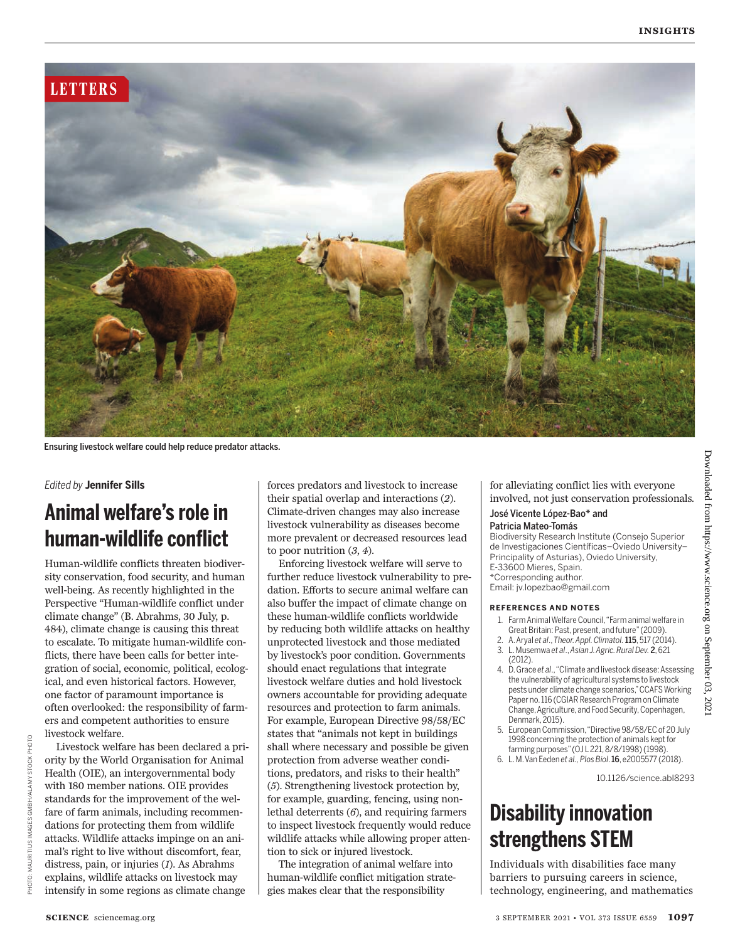

Ensuring livestock welfare could help reduce predator attacks.

#### *Edited by* **Jennifer Sills**

# **Animal welfare's role in human-wildlife conflict**

Human-wildlife conflicts threaten biodiversity conservation, food security, and human well-being. As recently highlighted in the Perspective "Human-wildlife conflict under climate change" (B. Abrahms, 30 July, p. 484), climate change is causing this threat to escalate. To mitigate human-wildlife conflicts, there have been calls for better integration of social, economic, political, ecological, and even historical factors. However, one factor of paramount importance is often overlooked: the responsibility of farmers and competent authorities to ensure livestock welfare.

Livestock welfare has been declared a priority by the World Organisation for Animal Health (OIE), an intergovernmental body with 180 member nations. OIE provides standards for the improvement of the welfare of farm animals, including recommendations for protecting them from wildlife attacks. Wildlife attacks impinge on an animal's right to live without discomfort, fear, distress, pain, or injuries (*1*). As Abrahms explains, wildlife attacks on livestock may intensify in some regions as climate change

forces predators and livestock to increase their spatial overlap and interactions (*2*). Climate-driven changes may also increase livestock vulnerability as diseases become more prevalent or decreased resources lead to poor nutrition (*3*, *4*).

Enforcing livestock welfare will serve to further reduce livestock vulnerability to predation. Efforts to secure animal welfare can also buffer the impact of climate change on these human-wildlife conflicts worldwide by reducing both wildlife attacks on healthy unprotected livestock and those mediated by livestock's poor condition. Governments should enact regulations that integrate livestock welfare duties and hold livestock owners accountable for providing adequate resources and protection to farm animals. For example, European Directive 98/58/EC states that "animals not kept in buildings shall where necessary and possible be given protection from adverse weather conditions, predators, and risks to their health" (*5*). Strengthening livestock protection by, for example, guarding, fencing, using nonlethal deterrents (*6*), and requiring farmers to inspect livestock frequently would reduce wildlife attacks while allowing proper attention to sick or injured livestock.

The integration of animal welfare into human-wildlife conflict mitigation strategies makes clear that the responsibility

for alleviating conflict lies with everyone involved, not just conservation professionals*.*

#### José Vicente López-Bao\* and Patricia Mateo-Tomás

Biodiversity Research Institute (Consejo Superior de Investigaciones Científicas–Oviedo University– Principality of Asturias), Oviedo University, E-33600 Mieres, Spain. \*Corresponding author. Email: jv.lopezbao@gmail.com

#### **REFERENCES AND NOTES**

- 1. Farm Animal Welfare Council, "Farm animal welfare in Great Britain: Past, present, and future" (2009).
- 2. A. Aryal *et al*., *Theor. Appl. Climatol.*115, 517 (2014). 3. L. Musemwa *et al*., *Asian J. Agric. Rural Dev.* 2, 621
- (2012). 4. D. Grace *et al*., "Climate and livestock disease: Assessing
- the vulnerability of agricultural systems to livestock pests under climate change scenarios," CCAFS Working Paper no. 116 (CGIAR Research Program on Climate Change, Agriculture, and Food Security, Copenhagen, Denmark, 2015).
- 5. European Commission, "Directive 98/58/EC of 20 July 1998 concerning the protection of animals kept for farming purposes" (OJ L 221, 8/8/1998) (1998).
- 6. L. M. Van Eeden *et al., Plos Biol*. 16, e2005577 (2018).

10.1126/science.abl8293

## **Disability innovation strengthens STEM**

Individuals with disabilities face many barriers to pursuing careers in science, technology, engineering, and mathematics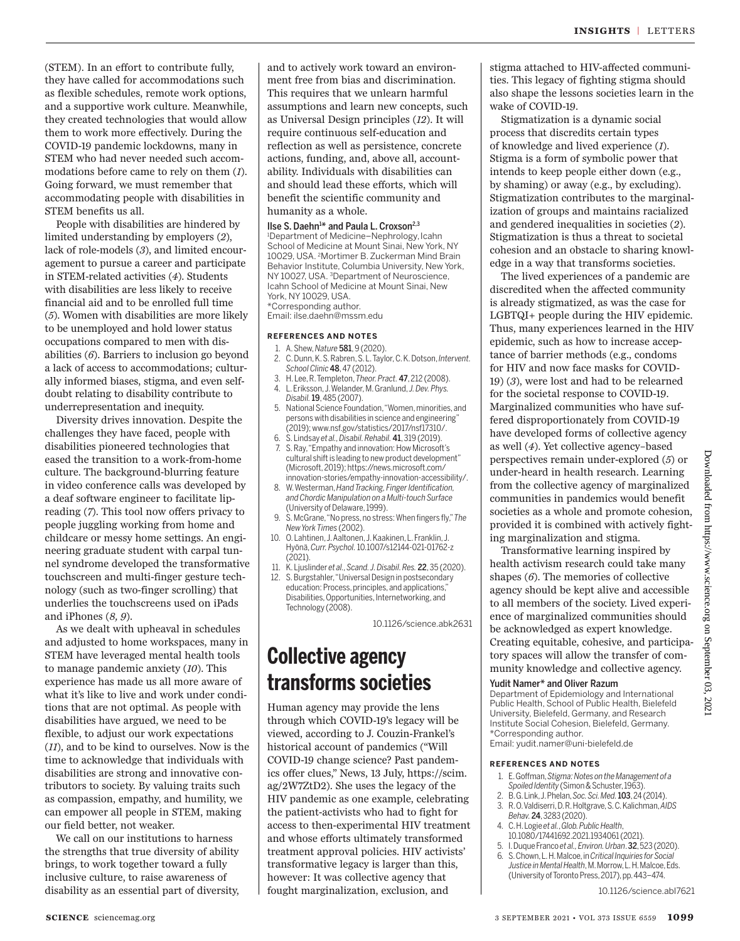(STEM). In an effort to contribute fully, they have called for accommodations such as flexible schedules, remote work options, and a supportive work culture. Meanwhile, they created technologies that would allow them to work more effectively. During the COVID-19 pandemic lockdowns, many in STEM who had never needed such accommodations before came to rely on them (*1*). Going forward, we must remember that accommodating people with disabilities in STEM benefits us all.

People with disabilities are hindered by limited understanding by employers (*2*), lack of role-models (*3*), and limited encouragement to pursue a career and participate in STEM-related activities (*4*). Students with disabilities are less likely to receive financial aid and to be enrolled full time (*5*). Women with disabilities are more likely to be unemployed and hold lower status occupations compared to men with disabilities (*6*). Barriers to inclusion go beyond a lack of access to accommodations; culturally informed biases, stigma, and even selfdoubt relating to disability contribute to underrepresentation and inequity.

Diversity drives innovation. Despite the challenges they have faced, people with disabilities pioneered technologies that eased the transition to a work-from-home culture. The background-blurring feature in video conference calls was developed by a deaf software engineer to facilitate lipreading (*7*). This tool now offers privacy to people juggling working from home and childcare or messy home settings. An engineering graduate student with carpal tunnel syndrome developed the transformative touchscreen and multi-finger gesture technology (such as two-finger scrolling) that underlies the touchscreens used on iPads and iPhones (*8, 9*).

As we dealt with upheaval in schedules and adjusted to home workspaces, many in STEM have leveraged mental health tools to manage pandemic anxiety (*10*). This experience has made us all more aware of what it's like to live and work under conditions that are not optimal. As people with disabilities have argued, we need to be flexible, to adjust our work expectations (*11*), and to be kind to ourselves. Now is the time to acknowledge that individuals with disabilities are strong and innovative contributors to society. By valuing traits such as compassion, empathy, and humility, we can empower all people in STEM, making our field better, not weaker.

We call on our institutions to harness the strengths that true diversity of ability brings, to work together toward a fully inclusive culture, to raise awareness of disability as an essential part of diversity, and to actively work toward an environment free from bias and discrimination. This requires that we unlearn harmful assumptions and learn new concepts, such as Universal Design principles (*12*). It will require continuous self-education and reflection as well as persistence, concrete actions, funding, and, above all, accountability. Individuals with disabilities can and should lead these efforts, which will benefit the scientific community and humanity as a whole.

Ilse S. Daehn<sup>1\*</sup> and Paula L. Croxson<sup>2,3</sup> <sup>1</sup>Department of Medicine–Nephrology, Icahn School of Medicine at Mount Sinai, New York, NY 10029, USA. <sup>2</sup>Mortimer B. Zuckerman Mind Brain Behavior Institute, Columbia University, New York, NY 10027, USA. <sup>3</sup>Department of Neuroscience, Icahn School of Medicine at Mount Sinai, New York, NY 10029, USA. \*Corresponding author.

Email: ilse.daehn@mssm.edu

#### **REFERENCES AND NOTES**

- 1. A. Shew, *Nature* 581, 9 (2020). 2. C. Dunn, K. S. Rabren, S. L. Taylor, C. K. Dotson, *Intervent. School Clinic* 48, 47 (2012).
- 3. H. Lee, R. Templeton, *Theor. Pract.* 47, 212 (2008). 4. L. Eriksson, J. Welander, M. Granlund, *J. Dev. Phys.*
- *Disabil.*19, 485 (2007).
- 5. National Science Foundation, "Women, minorities, and persons with disabilities in science and engineering" (2019); www.nsf.gov/statistics/2017/nsf17310/.
- 6. S. Lindsay *et al., Disabil. Rehabil.* 41, 319 (2019). S. Ray, "Empathy and innovation: How Microsoft's cultural shift is leading to new product development" (Microsoft, 2019); https://news.microsoft.com/ innovation-stories/empathy-innovation-accessibility/.
- 8. W. Westerman, *Hand Tracking, Finger Identification, and Chordic Manipulation on a Multi-touch Surface* (University of Delaware, 1999).
- 9. S. McGrane, "No press, no stress: When fingers fly," *The New York Times* (2002).
- 10. O. Lahtinen, J. Aaltonen, J. Kaakinen, L. Franklin, J. Hyönä, *Curr. Psychol.* 10.1007/s12144-021-01762-z (2021).
- 11. K. Ljuslinder *et al., Scand. J. Disabil. Res.* 22, 35 (2020).
- 12. S. Burgstahler, "Universal Design in postsecondary education: Process, principles, and applications," Disabilities, Opportunities, Internetworking, and Technology (2008).

10.1126/science.abk2631

### **Collective agency transforms societies**

Human agency may provide the lens through which COVID-19's legacy will be viewed, according to J. Couzin-Frankel's historical account of pandemics ("Will COVID-19 change science? Past pandemics offer clues," News, 13 July, https://scim. ag/2W7ZtD2). She uses the legacy of the HIV pandemic as one example, celebrating the patient-activists who had to fight for access to then-experimental HIV treatment and whose efforts ultimately transformed treatment approval policies. HIV activists' transformative legacy is larger than this, however: It was collective agency that fought marginalization, exclusion, and

stigma attached to HIV-affected communities. This legacy of fighting stigma should also shape the lessons societies learn in the wake of COVID-19.

Stigmatization is a dynamic social process that discredits certain types of knowledge and lived experience (*1*). Stigma is a form of symbolic power that intends to keep people either down (e.g., by shaming) or away (e.g., by excluding). Stigmatization contributes to the marginalization of groups and maintains racialized and gendered inequalities in societies (*2*). Stigmatization is thus a threat to societal cohesion and an obstacle to sharing knowledge in a way that transforms societies.

The lived experiences of a pandemic are discredited when the affected community is already stigmatized, as was the case for LGBTQI+ people during the HIV epidemic. Thus, many experiences learned in the HIV epidemic, such as how to increase acceptance of barrier methods (e.g., condoms for HIV and now face masks for COVID-19) (*3*), were lost and had to be relearned for the societal response to COVID-19. Marginalized communities who have suffered disproportionately from COVID-19 have developed forms of collective agency as well (*4*). Yet collective agency–based perspectives remain under-explored (*5*) or under-heard in health research. Learning from the collective agency of marginalized communities in pandemics would benefit societies as a whole and promote cohesion, provided it is combined with actively fighting marginalization and stigma.

Transformative learning inspired by health activism research could take many shapes (*6*). The memories of collective agency should be kept alive and accessible to all members of the society. Lived experience of marginalized communities should be acknowledged as expert knowledge. Creating equitable, cohesive, and participatory spaces will allow the transfer of community knowledge and collective agency.

#### Yudit Namer\* and Oliver Razum

Department of Epidemiology and International Public Health, School of Public Health, Bielefeld University, Bielefeld, Germany, and Research Institute Social Cohesion, Bielefeld, Germany. \*Corresponding author. Email: yudit.namer@uni-bielefeld.de

#### **REFERENCES AND NOTES**

- 1. E. Goffman, *Stigma: Notes on the Management of a Spoiled Identity* (Simon & Schuster, 1963).
- 2. B. G. Link, J. Phelan, *Soc. Sci. Med.*103, 24 (2014).
- 3. R. O. Valdiserri, D. R. Holtgrave, S. C. Kalichman, *AIDS Behav.*24, 3283 (2020).
- 4. C. H. Logie *et al.*, *Glob. Public Health*, 10.1080/17441692.2021.1934061 (2021).
- 5. I. Duque Franco *et al., Environ. Urban*. 32, 523 (2020).
- 6. S. Chown, L. H. Malcoe, in *Critical Inquiries for Social Justice in Mental Health*, M. Morrow, L. H. Malcoe, Eds. (University of Toronto Press, 2017), pp. 443–474.

10.1126/science.abl7621